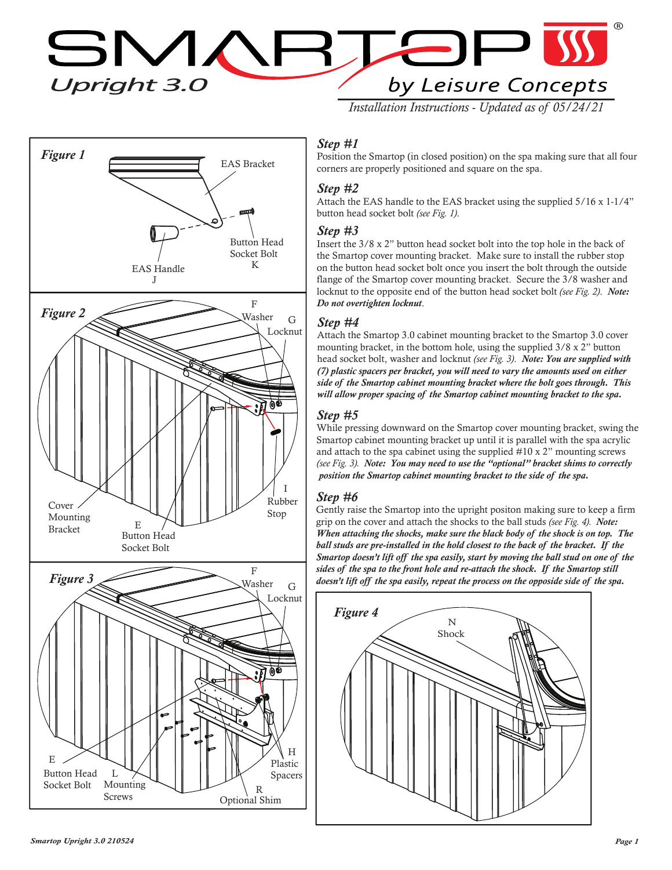$\Box$ **SMARTE** by Leisure Concepts

*Installation Instructions - Updated as of 05/24/21*



# *Step #1*

Position the Smartop (in closed position) on the spa making sure that all four corners are properly positioned and square on the spa.

## *Step #2*

Attach the EAS handle to the EAS bracket using the supplied 5/16 x 1-1/4" button head socket bolt *(see Fig. 1)*.

#### *Step #3*

Insert the 3/8 x 2" button head socket bolt into the top hole in the back of the Smartop cover mounting bracket. Make sure to install the rubber stop on the button head socket bolt once you insert the bolt through the outside flange of the Smartop cover mounting bracket. Secure the 3/8 washer and locknut to the opposite end of the button head socket bolt *(see Fig. 2)*. *Note: Do not overtighten locknut*.

#### *Step #4*

Attach the Smartop 3.0 cabinet mounting bracket to the Smartop 3.0 cover mounting bracket, in the bottom hole, using the supplied 3/8 x 2" button head socket bolt, washer and locknut *(see Fig. 3)*. *Note: You are supplied with (7) plastic spacers per bracket, you will need to vary the amounts used on either side of the Smartop cabinet mounting bracket where the bolt goes through. This will allow proper spacing of the Smartop cabinet mounting bracket to the spa.*

### *Step #5*

While pressing downward on the Smartop cover mounting bracket, swing the Smartop cabinet mounting bracket up until it is parallel with the spa acrylic and attach to the spa cabinet using the supplied #10 x 2" mounting screws *(see Fig. 3). Note: You may need to use the "optional" bracket shims to correctly position the Smartop cabinet mounting bracket to the side of the spa.*

# *Step #6*

Gently raise the Smartop into the upright positon making sure to keep a firm grip on the cover and attach the shocks to the ball studs *(see Fig. 4). Note: When attaching the shocks, make sure the black body of the shock is on top. The ball studs are pre-installed in the hold closest to the back of the bracket. If the Smartop doesn't lift off the spa easily, start by moving the ball stud on one of the sides of the spa to the front hole and re-attach the shock. If the Smartop still doesn't lift off the spa easily, repeat the process on the opposide side of the spa.*